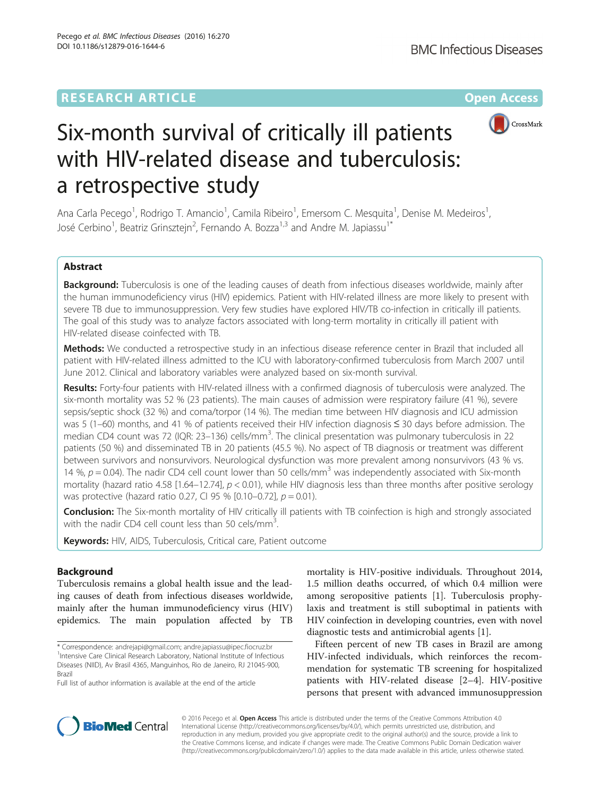

# Six-month survival of critically ill patients with HIV-related disease and tuberculosis: a retrospective study

Ana Carla Pecego<sup>1</sup>, Rodrigo T. Amancio<sup>1</sup>, Camila Ribeiro<sup>1</sup>, Emersom C. Mesquita<sup>1</sup>, Denise M. Medeiros<sup>1</sup> , José Cerbino<sup>1</sup>, Beatriz Grinsztejn<sup>2</sup>, Fernando A. Bozza<sup>1,3</sup> and Andre M. Japiassu<sup>1\*</sup>

# Abstract

Background: Tuberculosis is one of the leading causes of death from infectious diseases worldwide, mainly after the human immunodeficiency virus (HIV) epidemics. Patient with HIV-related illness are more likely to present with severe TB due to immunosuppression. Very few studies have explored HIV/TB co-infection in critically ill patients. The goal of this study was to analyze factors associated with long-term mortality in critically ill patient with HIV-related disease coinfected with TB.

Methods: We conducted a retrospective study in an infectious disease reference center in Brazil that included all patient with HIV-related illness admitted to the ICU with laboratory-confirmed tuberculosis from March 2007 until June 2012. Clinical and laboratory variables were analyzed based on six-month survival.

Results: Forty-four patients with HIV-related illness with a confirmed diagnosis of tuberculosis were analyzed. The six-month mortality was 52 % (23 patients). The main causes of admission were respiratory failure (41 %), severe sepsis/septic shock (32 %) and coma/torpor (14 %). The median time between HIV diagnosis and ICU admission was 5 (1–60) months, and 41 % of patients received their HIV infection diagnosis ≤ 30 days before admission. The median CD4 count was 72 (IQR: 23–136) cells/mm<sup>3</sup>. The clinical presentation was pulmonary tuberculosis in 22 patients (50 %) and disseminated TB in 20 patients (45.5 %). No aspect of TB diagnosis or treatment was different between survivors and nonsurvivors. Neurological dysfunction was more prevalent among nonsurvivors (43 % vs. 14 %,  $p = 0.04$ ). The nadir CD4 cell count lower than 50 cells/mm<sup>3</sup> was independently associated with Six-month mortality (hazard ratio 4.58 [1.64–12.74],  $p < 0.01$ ), while HIV diagnosis less than three months after positive serology was protective (hazard ratio 0.27, CI 95 % [0.10–0.72],  $p = 0.01$ ).

Conclusion: The Six-month mortality of HIV critically ill patients with TB coinfection is high and strongly associated with the nadir CD4 cell count less than 50 cels/mm<sup>3</sup>. .

Keywords: HIV, AIDS, Tuberculosis, Critical care, Patient outcome

## Background

Tuberculosis remains a global health issue and the leading causes of death from infectious diseases worldwide, mainly after the human immunodeficiency virus (HIV) epidemics. The main population affected by TB

Full list of author information is available at the end of the article

mortality is HIV-positive individuals. Throughout 2014, 1.5 million deaths occurred, of which 0.4 million were among seropositive patients [\[1](#page-7-0)]. Tuberculosis prophylaxis and treatment is still suboptimal in patients with HIV coinfection in developing countries, even with novel diagnostic tests and antimicrobial agents [\[1](#page-7-0)].

Fifteen percent of new TB cases in Brazil are among HIV-infected individuals, which reinforces the recommendation for systematic TB screening for hospitalized patients with HIV-related disease [\[2](#page-7-0)–[4](#page-7-0)]. HIV-positive persons that present with advanced immunosuppression



© 2016 Pecego et al. Open Access This article is distributed under the terms of the Creative Commons Attribution 4.0 International License [\(http://creativecommons.org/licenses/by/4.0/](http://creativecommons.org/licenses/by/4.0/)), which permits unrestricted use, distribution, and reproduction in any medium, provided you give appropriate credit to the original author(s) and the source, provide a link to the Creative Commons license, and indicate if changes were made. The Creative Commons Public Domain Dedication waiver [\(http://creativecommons.org/publicdomain/zero/1.0/](http://creativecommons.org/publicdomain/zero/1.0/)) applies to the data made available in this article, unless otherwise stated.

<sup>\*</sup> Correspondence: [andrejapi@gmail.com;](mailto:andrejapi@gmail.com) [andre.japiassu@ipec.fiocruz.br](mailto:andre.japiassu@ipec.fiocruz.br) <sup>1</sup> <sup>1</sup> Intensive Care Clinical Research Laboratory, National Institute of Infectious Diseases (NIID), Av Brasil 4365, Manguinhos, Rio de Janeiro, RJ 21045-900, Brazil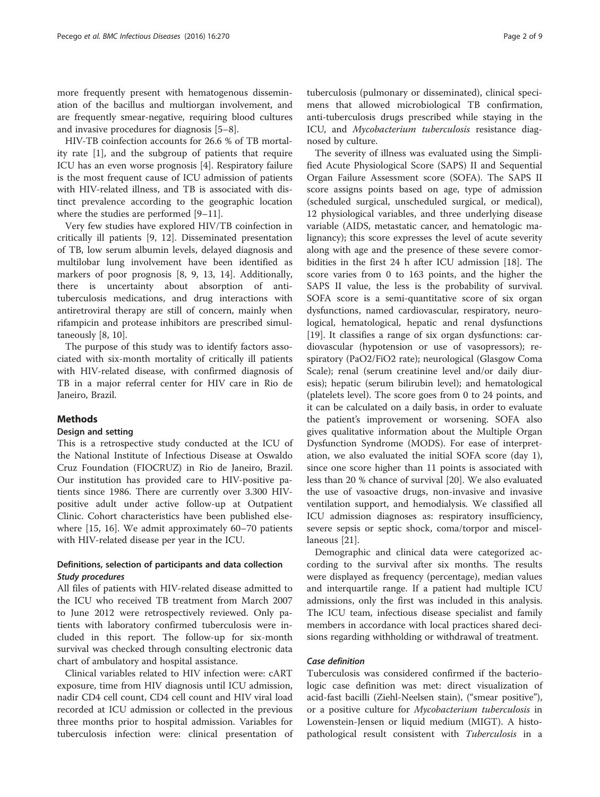more frequently present with hematogenous dissemination of the bacillus and multiorgan involvement, and are frequently smear-negative, requiring blood cultures and invasive procedures for diagnosis [\[5](#page-7-0)–[8\]](#page-7-0).

HIV-TB coinfection accounts for 26.6 % of TB mortality rate [\[1](#page-7-0)], and the subgroup of patients that require ICU has an even worse prognosis [[4\]](#page-7-0). Respiratory failure is the most frequent cause of ICU admission of patients with HIV-related illness, and TB is associated with distinct prevalence according to the geographic location where the studies are performed [[9](#page-7-0)–[11](#page-7-0)].

Very few studies have explored HIV/TB coinfection in critically ill patients [[9](#page-7-0), [12](#page-7-0)]. Disseminated presentation of TB, low serum albumin levels, delayed diagnosis and multilobar lung involvement have been identified as markers of poor prognosis [\[8](#page-7-0), [9, 13, 14](#page-7-0)]. Additionally, there is uncertainty about absorption of antituberculosis medications, and drug interactions with antiretroviral therapy are still of concern, mainly when rifampicin and protease inhibitors are prescribed simultaneously [\[8](#page-7-0), [10](#page-7-0)].

The purpose of this study was to identify factors associated with six-month mortality of critically ill patients with HIV-related disease, with confirmed diagnosis of TB in a major referral center for HIV care in Rio de Janeiro, Brazil.

## Methods

## Design and setting

This is a retrospective study conducted at the ICU of the National Institute of Infectious Disease at Oswaldo Cruz Foundation (FIOCRUZ) in Rio de Janeiro, Brazil. Our institution has provided care to HIV-positive patients since 1986. There are currently over 3.300 HIVpositive adult under active follow-up at Outpatient Clinic. Cohort characteristics have been published elsewhere [\[15, 16](#page-7-0)]. We admit approximately 60–70 patients with HIV-related disease per year in the ICU.

## Definitions, selection of participants and data collection Study procedures

All files of patients with HIV-related disease admitted to the ICU who received TB treatment from March 2007 to June 2012 were retrospectively reviewed. Only patients with laboratory confirmed tuberculosis were included in this report. The follow-up for six-month survival was checked through consulting electronic data chart of ambulatory and hospital assistance.

Clinical variables related to HIV infection were: cART exposure, time from HIV diagnosis until ICU admission, nadir CD4 cell count, CD4 cell count and HIV viral load recorded at ICU admission or collected in the previous three months prior to hospital admission. Variables for tuberculosis infection were: clinical presentation of

tuberculosis (pulmonary or disseminated), clinical specimens that allowed microbiological TB confirmation, anti-tuberculosis drugs prescribed while staying in the ICU, and Mycobacterium tuberculosis resistance diagnosed by culture.

The severity of illness was evaluated using the Simplified Acute Physiological Score (SAPS) II and Sequential Organ Failure Assessment score (SOFA). The SAPS II score assigns points based on age, type of admission (scheduled surgical, unscheduled surgical, or medical), 12 physiological variables, and three underlying disease variable (AIDS, metastatic cancer, and hematologic malignancy); this score expresses the level of acute severity along with age and the presence of these severe comorbidities in the first 24 h after ICU admission [\[18\]](#page-7-0). The score varies from 0 to 163 points, and the higher the SAPS II value, the less is the probability of survival. SOFA score is a semi-quantitative score of six organ dysfunctions, named cardiovascular, respiratory, neurological, hematological, hepatic and renal dysfunctions [[19\]](#page-7-0). It classifies a range of six organ dysfunctions: cardiovascular (hypotension or use of vasopressors); respiratory (PaO2/FiO2 rate); neurological (Glasgow Coma Scale); renal (serum creatinine level and/or daily diuresis); hepatic (serum bilirubin level); and hematological (platelets level). The score goes from 0 to 24 points, and it can be calculated on a daily basis, in order to evaluate the patient's improvement or worsening. SOFA also gives qualitative information about the Multiple Organ Dysfunction Syndrome (MODS). For ease of interpretation, we also evaluated the initial SOFA score (day 1), since one score higher than 11 points is associated with less than 20 % chance of survival [[20\]](#page-7-0). We also evaluated the use of vasoactive drugs, non-invasive and invasive ventilation support, and hemodialysis. We classified all ICU admission diagnoses as: respiratory insufficiency, severe sepsis or septic shock, coma/torpor and miscellaneous [[21\]](#page-7-0).

Demographic and clinical data were categorized according to the survival after six months. The results were displayed as frequency (percentage), median values and interquartile range. If a patient had multiple ICU admissions, only the first was included in this analysis. The ICU team, infectious disease specialist and family members in accordance with local practices shared decisions regarding withholding or withdrawal of treatment.

## Case definition

Tuberculosis was considered confirmed if the bacteriologic case definition was met: direct visualization of acid-fast bacilli (Ziehl-Neelsen stain), ("smear positive"), or a positive culture for Mycobacterium tuberculosis in Lowenstein-Jensen or liquid medium (MIGT). A histopathological result consistent with Tuberculosis in a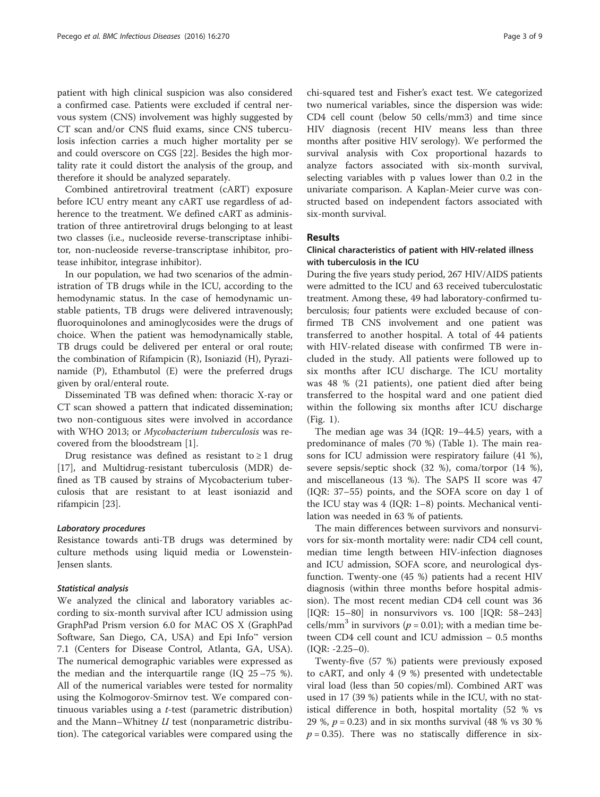patient with high clinical suspicion was also considered a confirmed case. Patients were excluded if central nervous system (CNS) involvement was highly suggested by CT scan and/or CNS fluid exams, since CNS tuberculosis infection carries a much higher mortality per se and could overscore on CGS [[22\]](#page-7-0). Besides the high mortality rate it could distort the analysis of the group, and therefore it should be analyzed separately.

Combined antiretroviral treatment (cART) exposure before ICU entry meant any cART use regardless of adherence to the treatment. We defined cART as administration of three antiretroviral drugs belonging to at least two classes (i.e., nucleoside reverse-transcriptase inhibitor, non-nucleoside reverse-transcriptase inhibitor, protease inhibitor, integrase inhibitor).

In our population, we had two scenarios of the administration of TB drugs while in the ICU, according to the hemodynamic status. In the case of hemodynamic unstable patients, TB drugs were delivered intravenously; fluoroquinolones and aminoglycosides were the drugs of choice. When the patient was hemodynamically stable, TB drugs could be delivered per enteral or oral route; the combination of Rifampicin (R), Isoniazid (H), Pyrazinamide (P), Ethambutol (E) were the preferred drugs given by oral/enteral route.

Disseminated TB was defined when: thoracic X-ray or CT scan showed a pattern that indicated dissemination; two non-contiguous sites were involved in accordance with WHO 2013; or Mycobacterium tuberculosis was recovered from the bloodstream [[1\]](#page-7-0).

Drug resistance was defined as resistant to  $\geq 1$  drug [[17\]](#page-7-0), and Multidrug-resistant tuberculosis (MDR) defined as TB caused by strains of Mycobacterium tuberculosis that are resistant to at least isoniazid and rifampicin [[23](#page-7-0)].

## Laboratory procedures

Resistance towards anti-TB drugs was determined by culture methods using liquid media or Lowenstein-Jensen slants.

#### Statistical analysis

We analyzed the clinical and laboratory variables according to six-month survival after ICU admission using GraphPad Prism version 6.0 for MAC OS X (GraphPad Software, San Diego, CA, USA) and Epi Info™ version 7.1 (Centers for Disease Control, Atlanta, GA, USA). The numerical demographic variables were expressed as the median and the interquartile range (IQ 25 –75 %). All of the numerical variables were tested for normality using the Kolmogorov-Smirnov test. We compared continuous variables using a t-test (parametric distribution) and the Mann–Whitney U test (nonparametric distribution). The categorical variables were compared using the chi-squared test and Fisher's exact test. We categorized two numerical variables, since the dispersion was wide: CD4 cell count (below 50 cells/mm3) and time since HIV diagnosis (recent HIV means less than three months after positive HIV serology). We performed the survival analysis with Cox proportional hazards to analyze factors associated with six-month survival, selecting variables with p values lower than 0.2 in the univariate comparison. A Kaplan-Meier curve was constructed based on independent factors associated with six-month survival.

## Results

## Clinical characteristics of patient with HIV-related illness with tuberculosis in the ICU

During the five years study period, 267 HIV/AIDS patients were admitted to the ICU and 63 received tuberculostatic treatment. Among these, 49 had laboratory-confirmed tuberculosis; four patients were excluded because of confirmed TB CNS involvement and one patient was transferred to another hospital. A total of 44 patients with HIV-related disease with confirmed TB were included in the study. All patients were followed up to six months after ICU discharge. The ICU mortality was 48 % (21 patients), one patient died after being transferred to the hospital ward and one patient died within the following six months after ICU discharge (Fig. [1\)](#page-3-0).

The median age was 34 (IQR: 19–44.5) years, with a predominance of males (70 %) (Table [1\)](#page-4-0). The main reasons for ICU admission were respiratory failure (41 %), severe sepsis/septic shock (32 %), coma/torpor (14 %), and miscellaneous (13 %). The SAPS II score was 47 (IQR: 37–55) points, and the SOFA score on day 1 of the ICU stay was 4 (IQR: 1–8) points. Mechanical ventilation was needed in 63 % of patients.

The main differences between survivors and nonsurvivors for six-month mortality were: nadir CD4 cell count, median time length between HIV-infection diagnoses and ICU admission, SOFA score, and neurological dysfunction. Twenty-one (45 %) patients had a recent HIV diagnosis (within three months before hospital admission). The most recent median CD4 cell count was 36 [IQR: 15–80] in nonsurvivors vs. 100 [IQR: 58–243] cells/mm<sup>3</sup> in survivors ( $p = 0.01$ ); with a median time between CD4 cell count and ICU admission – 0.5 months  $(IQR: -2.25-0)$ .

Twenty-five (57 %) patients were previously exposed to cART, and only 4 (9 %) presented with undetectable viral load (less than 50 copies/ml). Combined ART was used in 17 (39 %) patients while in the ICU, with no statistical difference in both, hospital mortality (52 % vs 29 %,  $p = 0.23$ ) and in six months survival (48 % vs 30 %)  $p = 0.35$ ). There was no statiscally difference in six-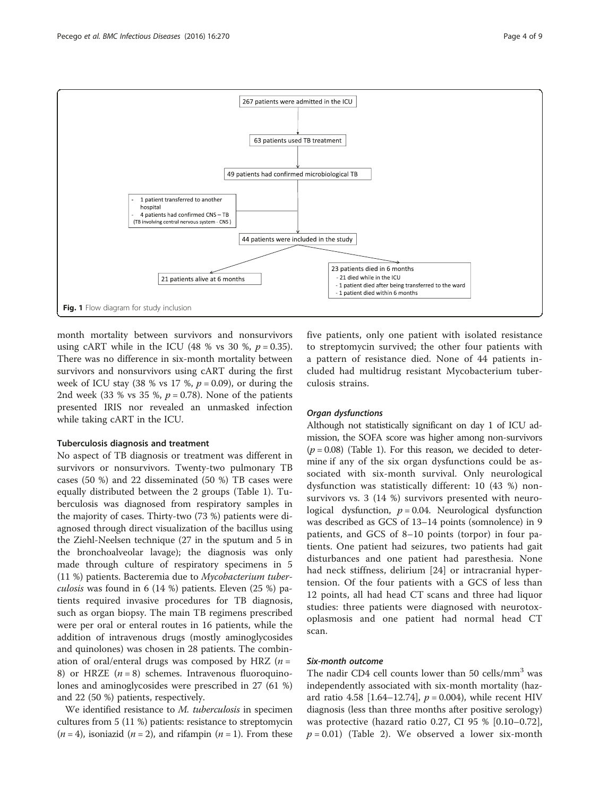<span id="page-3-0"></span>

month mortality between survivors and nonsurvivors using cART while in the ICU (48 % vs 30 %,  $p = 0.35$ ). There was no difference in six-month mortality between survivors and nonsurvivors using cART during the first week of ICU stay (38 % vs 17 %,  $p = 0.09$ ), or during the 2nd week (33 % vs 35 %,  $p = 0.78$ ). None of the patients presented IRIS nor revealed an unmasked infection while taking cART in the ICU.

## Tuberculosis diagnosis and treatment

No aspect of TB diagnosis or treatment was different in survivors or nonsurvivors. Twenty-two pulmonary TB cases (50 %) and 22 disseminated (50 %) TB cases were equally distributed between the 2 groups (Table [1\)](#page-4-0). Tuberculosis was diagnosed from respiratory samples in the majority of cases. Thirty-two (73 %) patients were diagnosed through direct visualization of the bacillus using the Ziehl-Neelsen technique (27 in the sputum and 5 in the bronchoalveolar lavage); the diagnosis was only made through culture of respiratory specimens in 5 (11 %) patients. Bacteremia due to Mycobacterium tuberculosis was found in 6 (14 %) patients. Eleven (25 %) patients required invasive procedures for TB diagnosis, such as organ biopsy. The main TB regimens prescribed were per oral or enteral routes in 16 patients, while the addition of intravenous drugs (mostly aminoglycosides and quinolones) was chosen in 28 patients. The combination of oral/enteral drugs was composed by HRZ ( $n =$ 8) or HRZE  $(n = 8)$  schemes. Intravenous fluoroquinolones and aminoglycosides were prescribed in 27 (61 %) and 22 (50 %) patients, respectively.

We identified resistance to *M. tuberculosis* in specimen cultures from 5 (11 %) patients: resistance to streptomycin  $(n = 4)$ , isoniazid  $(n = 2)$ , and rifampin  $(n = 1)$ . From these

five patients, only one patient with isolated resistance to streptomycin survived; the other four patients with a pattern of resistance died. None of 44 patients included had multidrug resistant Mycobacterium tuberculosis strains.

## Organ dysfunctions

Although not statistically significant on day 1 of ICU admission, the SOFA score was higher among non-survivors  $(p = 0.08)$  (Table [1](#page-4-0)). For this reason, we decided to determine if any of the six organ dysfunctions could be associated with six-month survival. Only neurological dysfunction was statistically different: 10 (43 %) nonsurvivors vs. 3 (14 %) survivors presented with neurological dysfunction,  $p = 0.04$ . Neurological dysfunction was described as GCS of 13–14 points (somnolence) in 9 patients, and GCS of 8–10 points (torpor) in four patients. One patient had seizures, two patients had gait disturbances and one patient had paresthesia. None had neck stiffness, delirium [[24\]](#page-8-0) or intracranial hypertension. Of the four patients with a GCS of less than 12 points, all had head CT scans and three had liquor studies: three patients were diagnosed with neurotoxoplasmosis and one patient had normal head CT scan.

#### Six-month outcome

The nadir CD4 cell counts lower than 50 cells/ $mm<sup>3</sup>$  was independently associated with six-month mortality (hazard ratio 4.58 [1.64–12.74],  $p = 0.004$ ), while recent HIV diagnosis (less than three months after positive serology) was protective (hazard ratio 0.27, CI 95 % [0.10–0.72],  $p = 0.01$ ) (Table [2\)](#page-4-0). We observed a lower six-month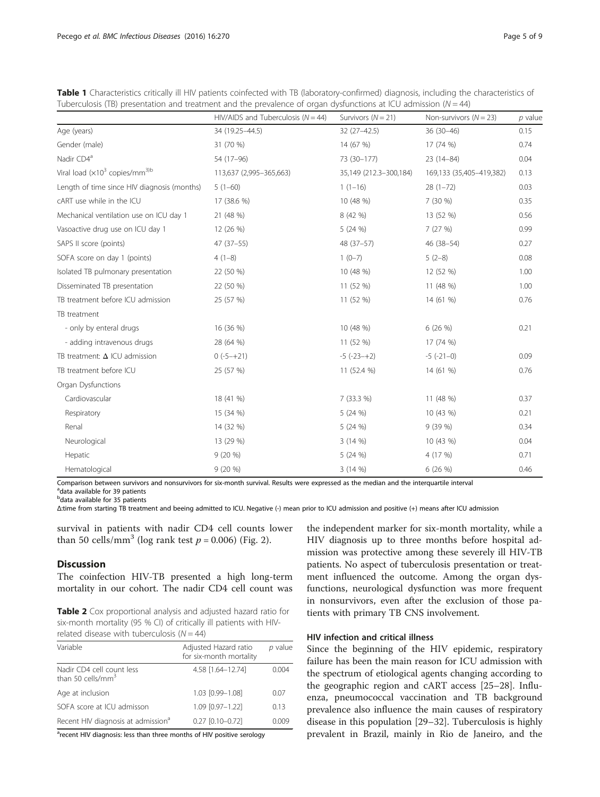|                                             | HIV/AIDS and Tuberculosis ( $N = 44$ ) | Survivors $(N = 21)$   | Non-survivors $(N = 23)$ | $p$ value |
|---------------------------------------------|----------------------------------------|------------------------|--------------------------|-----------|
| Age (years)                                 | 34 (19.25-44.5)                        | $32(27-42.5)$          | 36 (30-46)               | 0.15      |
| Gender (male)                               | 31 (70 %)                              | 14 (67 %)              | 17 (74 %)                | 0.74      |
| Nadir CD4 <sup>a</sup>                      | 54 (17-96)                             | 73 (30-177)            | $23(14-84)$              | 0.04      |
| Viral load $(x10^3 \text{ copies/mm}^{3)b}$ | 113,637 (2,995-365,663)                | 35,149 (212.3-300,184) | 169,133 (35,405-419,382) | 0.13      |
| Length of time since HIV diagnosis (months) | $5(1-60)$                              | $1(1-16)$              | $28(1 - 72)$             | 0.03      |
| cART use while in the ICU                   | 17 (38.6 %)                            | 10 (48 %)              | 7 (30 %)                 | 0.35      |
| Mechanical ventilation use on ICU day 1     | 21 (48 %)                              | 8 (42 %)               | 13 (52 %)                | 0.56      |
| Vasoactive drug use on ICU day 1            | 12 (26 %)                              | 5(24%)                 | 7(27%)                   | 0.99      |
| SAPS II score (points)                      | $47(37-55)$                            | 48 (37-57)             | 46 (38-54)               | 0.27      |
| SOFA score on day 1 (points)                | $4(1-8)$                               | $1(0-7)$               | $5(2-8)$                 | 0.08      |
| Isolated TB pulmonary presentation          | 22 (50 %)                              | 10 (48 %)              | 12 (52 %)                | 1.00      |
| Disseminated TB presentation                | 22 (50 %)                              | 11 (52 %)              | 11 (48 %)                | 1.00      |
| TB treatment before ICU admission           | 25 (57 %)                              | 11 (52 %)              | 14 (61 %)                | 0.76      |
| TB treatment                                |                                        |                        |                          |           |
| - only by enteral drugs                     | 16 (36 %)                              | 10 (48 %)              | 6(26%)                   | 0.21      |
| - adding intravenous drugs                  | 28 (64 %)                              | 11 (52 %)              | 17 (74 %)                |           |
| TB treatment: $\Delta$ ICU admission        | $0(-5 - +21)$                          | $-5$ $(-23 - +2)$      | $-5$ $(-21-0)$           | 0.09      |
| TB treatment before ICU                     | 25 (57 %)                              | 11 (52.4 %)            | 14 (61 %)                | 0.76      |
| Organ Dysfunctions                          |                                        |                        |                          |           |
| Cardiovascular                              | 18 (41 %)                              | 7 (33.3 %)             | 11 (48 %)                | 0.37      |
| Respiratory                                 | 15 (34 %)                              | 5(24%)                 | 10 (43 %)                | 0.21      |
| Renal                                       | 14 (32 %)                              | 5(24%)                 | 9(39%)                   | 0.34      |
| Neurological                                | 13 (29 %)                              | 3(14%)                 | 10 (43 %)                | 0.04      |
| Hepatic                                     | 9(20%                                  | 5(24%)                 | 4 (17 %)                 | 0.71      |
| Hematological                               | 9(20%                                  | 3(14%)                 | 6 (26 %)                 | 0.46      |

<span id="page-4-0"></span>Table 1 Characteristics critically ill HIV patients coinfected with TB (laboratory-confirmed) diagnosis, including the characteristics of Tuberculosis (TB) presentation and treatment and the prevalence of organ dysfunctions at ICU admission ( $N = 44$ )

Comparison between survivors and nonsurvivors for six-month survival. Results were expressed as the median and the interquartile interval <sup>a</sup>data available for 39 patients

<sup>b</sup>data available for 35 patients

Δ:time from starting TB treatment and beeing admitted to ICU. Negative (-) mean prior to ICU admission and positive (+) means after ICU admission

survival in patients with nadir CD4 cell counts lower than 50 cells/mm<sup>3</sup> (log rank test  $p = 0.006$ ) (Fig. [2](#page-5-0)).

## **Discussion**

The coinfection HIV-TB presented a high long-term mortality in our cohort. The nadir CD4 cell count was

Table 2 Cox proportional analysis and adjusted hazard ratio for six-month mortality (95 % CI) of critically ill patients with HIVrelated disease with tuberculosis  $(N = 44)$ 

| Variable                                                   | Adjusted Hazard ratio<br>for six-month mortality | p value |
|------------------------------------------------------------|--------------------------------------------------|---------|
| Nadir CD4 cell count less<br>than 50 cells/mm <sup>3</sup> | 4.58 [1.64-12.74]                                | 0.004   |
| Age at inclusion                                           | 1.03 [0.99-1.08]                                 | 0.07    |
| SOEA score at ICU admisson                                 | 1.09 [0.97-1.22]                                 | 0.13    |
| Recent HIV diagnosis at admission <sup>a</sup>             | 0.27 [0.10-0.72]                                 | 0.009   |

<sup>a</sup>recent HIV diagnosis: less than three months of HIV positive serology

the independent marker for six-month mortality, while a HIV diagnosis up to three months before hospital admission was protective among these severely ill HIV-TB patients. No aspect of tuberculosis presentation or treatment influenced the outcome. Among the organ dysfunctions, neurological dysfunction was more frequent in nonsurvivors, even after the exclusion of those patients with primary TB CNS involvement.

## HIV infection and critical illness

Since the beginning of the HIV epidemic, respiratory failure has been the main reason for ICU admission with the spectrum of etiological agents changing according to the geographic region and cART access [\[25](#page-8-0)–[28\]](#page-8-0). Influenza, pneumococcal vaccination and TB background prevalence also influence the main causes of respiratory disease in this population [\[29](#page-8-0)–[32\]](#page-8-0). Tuberculosis is highly prevalent in Brazil, mainly in Rio de Janeiro, and the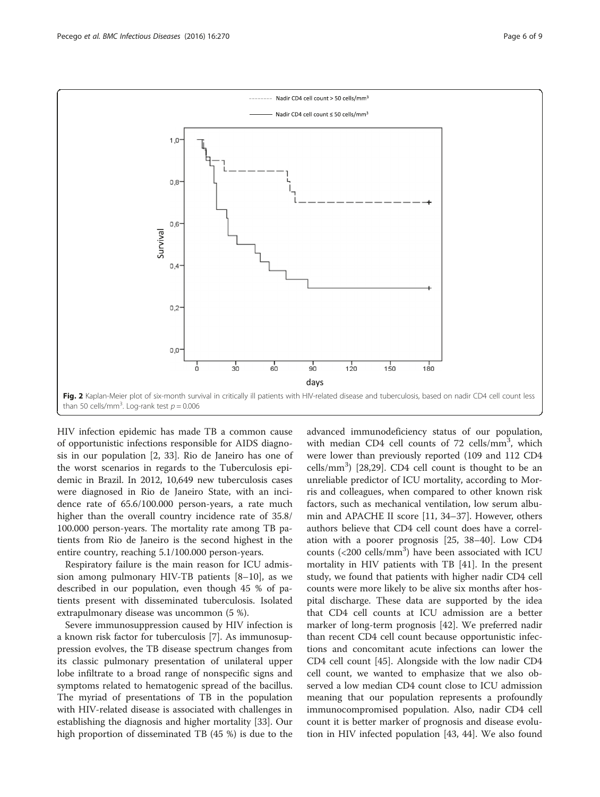<span id="page-5-0"></span>

HIV infection epidemic has made TB a common cause of opportunistic infections responsible for AIDS diagnosis in our population [\[2,](#page-7-0) [33\]](#page-8-0). Rio de Janeiro has one of the worst scenarios in regards to the Tuberculosis epidemic in Brazil. In 2012, 10,649 new tuberculosis cases were diagnosed in Rio de Janeiro State, with an incidence rate of 65.6/100.000 person-years, a rate much higher than the overall country incidence rate of 35.8/ 100.000 person-years. The mortality rate among TB patients from Rio de Janeiro is the second highest in the entire country, reaching 5.1/100.000 person-years.

Respiratory failure is the main reason for ICU admission among pulmonary HIV-TB patients [\[8](#page-7-0)–[10\]](#page-7-0), as we described in our population, even though 45 % of patients present with disseminated tuberculosis. Isolated extrapulmonary disease was uncommon (5 %).

Severe immunosuppression caused by HIV infection is a known risk factor for tuberculosis [\[7](#page-7-0)]. As immunosuppression evolves, the TB disease spectrum changes from its classic pulmonary presentation of unilateral upper lobe infiltrate to a broad range of nonspecific signs and symptoms related to hematogenic spread of the bacillus. The myriad of presentations of TB in the population with HIV-related disease is associated with challenges in establishing the diagnosis and higher mortality [[33](#page-8-0)]. Our high proportion of disseminated TB (45 %) is due to the

advanced immunodeficiency status of our population, with median CD4 cell counts of 72 cells/mm<sup>3</sup>, which were lower than previously reported (109 and 112 CD4 cells/mm<sup>3</sup> ) [\[28,29](#page-8-0)]. CD4 cell count is thought to be an unreliable predictor of ICU mortality, according to Morris and colleagues, when compared to other known risk factors, such as mechanical ventilation, low serum albumin and APACHE II score [\[11](#page-7-0), [34](#page-8-0)–[37](#page-8-0)]. However, others authors believe that CD4 cell count does have a correlation with a poorer prognosis [[25, 38](#page-8-0)–[40\]](#page-8-0). Low CD4 counts (<200 cells/mm<sup>3</sup>) have been associated with ICU mortality in HIV patients with TB [[41\]](#page-8-0). In the present study, we found that patients with higher nadir CD4 cell counts were more likely to be alive six months after hospital discharge. These data are supported by the idea that CD4 cell counts at ICU admission are a better marker of long-term prognosis [[42](#page-8-0)]. We preferred nadir than recent CD4 cell count because opportunistic infections and concomitant acute infections can lower the CD4 cell count [\[45\]](#page-8-0). Alongside with the low nadir CD4 cell count, we wanted to emphasize that we also observed a low median CD4 count close to ICU admission meaning that our population represents a profoundly immunocompromised population. Also, nadir CD4 cell count it is better marker of prognosis and disease evolution in HIV infected population [[43](#page-8-0), [44\]](#page-8-0). We also found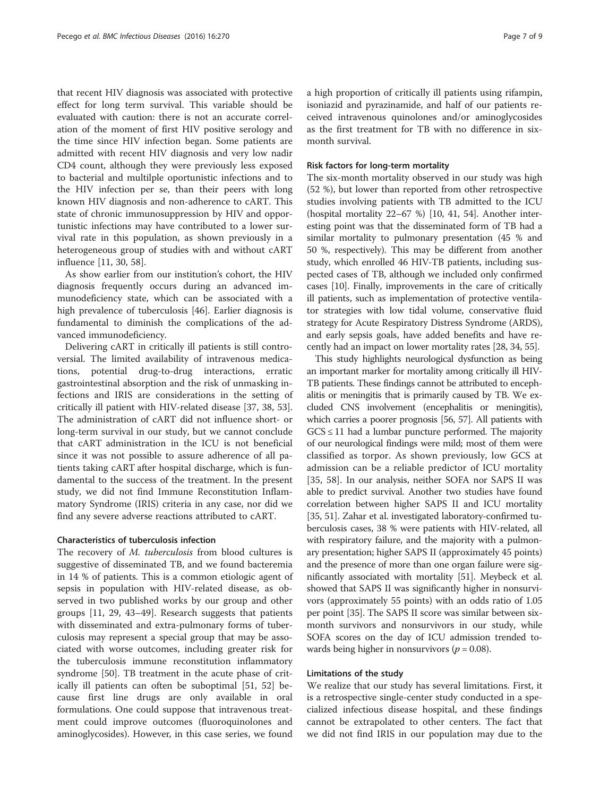that recent HIV diagnosis was associated with protective effect for long term survival. This variable should be evaluated with caution: there is not an accurate correlation of the moment of first HIV positive serology and the time since HIV infection began. Some patients are admitted with recent HIV diagnosis and very low nadir CD4 count, although they were previously less exposed to bacterial and multilple oportunistic infections and to the HIV infection per se, than their peers with long known HIV diagnosis and non-adherence to cART. This state of chronic immunosuppression by HIV and opportunistic infections may have contributed to a lower survival rate in this population, as shown previously in a heterogeneous group of studies with and without cART influence [\[11,](#page-7-0) [30, 58\]](#page-8-0).

As show earlier from our institution's cohort, the HIV diagnosis frequently occurs during an advanced immunodeficiency state, which can be associated with a high prevalence of tuberculosis [\[46](#page-8-0)]. Earlier diagnosis is fundamental to diminish the complications of the advanced immunodeficiency.

Delivering cART in critically ill patients is still controversial. The limited availability of intravenous medications, potential drug-to-drug interactions, erratic gastrointestinal absorption and the risk of unmasking infections and IRIS are considerations in the setting of critically ill patient with HIV-related disease [\[37, 38](#page-8-0), [53](#page-8-0)]. The administration of cART did not influence short- or long-term survival in our study, but we cannot conclude that cART administration in the ICU is not beneficial since it was not possible to assure adherence of all patients taking cART after hospital discharge, which is fundamental to the success of the treatment. In the present study, we did not find Immune Reconstitution Inflammatory Syndrome (IRIS) criteria in any case, nor did we find any severe adverse reactions attributed to cART.

#### Characteristics of tuberculosis infection

The recovery of *M. tuberculosis* from blood cultures is suggestive of disseminated TB, and we found bacteremia in 14 % of patients. This is a common etiologic agent of sepsis in population with HIV-related disease, as observed in two published works by our group and other groups [[11,](#page-7-0) [29, 43](#page-8-0)–[49\]](#page-8-0). Research suggests that patients with disseminated and extra-pulmonary forms of tuberculosis may represent a special group that may be associated with worse outcomes, including greater risk for the tuberculosis immune reconstitution inflammatory syndrome [[50](#page-8-0)]. TB treatment in the acute phase of critically ill patients can often be suboptimal [\[51, 52\]](#page-8-0) because first line drugs are only available in oral formulations. One could suppose that intravenous treatment could improve outcomes (fluoroquinolones and aminoglycosides). However, in this case series, we found a high proportion of critically ill patients using rifampin, isoniazid and pyrazinamide, and half of our patients received intravenous quinolones and/or aminoglycosides as the first treatment for TB with no difference in sixmonth survival.

#### Risk factors for long-term mortality

The six-month mortality observed in our study was high (52 %), but lower than reported from other retrospective studies involving patients with TB admitted to the ICU (hospital mortality 22–67 %) [\[10,](#page-7-0) [41](#page-8-0), [54](#page-8-0)]. Another interesting point was that the disseminated form of TB had a similar mortality to pulmonary presentation (45 % and 50 %, respectively). This may be different from another study, which enrolled 46 HIV-TB patients, including suspected cases of TB, although we included only confirmed cases [\[10\]](#page-7-0). Finally, improvements in the care of critically ill patients, such as implementation of protective ventilator strategies with low tidal volume, conservative fluid strategy for Acute Respiratory Distress Syndrome (ARDS), and early sepsis goals, have added benefits and have recently had an impact on lower mortality rates [\[28, 34](#page-8-0), [55\]](#page-8-0).

This study highlights neurological dysfunction as being an important marker for mortality among critically ill HIV-TB patients. These findings cannot be attributed to encephalitis or meningitis that is primarily caused by TB. We excluded CNS involvement (encephalitis or meningitis), which carries a poorer prognosis [[56, 57\]](#page-8-0). All patients with  $GCS \leq 11$  had a lumbar puncture performed. The majority of our neurological findings were mild; most of them were classified as torpor. As shown previously, low GCS at admission can be a reliable predictor of ICU mortality [[35, 58](#page-8-0)]. In our analysis, neither SOFA nor SAPS II was able to predict survival. Another two studies have found correlation between higher SAPS II and ICU mortality [[35](#page-8-0), [51\]](#page-8-0). Zahar et al. investigated laboratory-confirmed tuberculosis cases, 38 % were patients with HIV-related, all with respiratory failure, and the majority with a pulmonary presentation; higher SAPS II (approximately 45 points) and the presence of more than one organ failure were significantly associated with mortality [\[51](#page-8-0)]. Meybeck et al. showed that SAPS II was significantly higher in nonsurvivors (approximately 55 points) with an odds ratio of 1.05 per point [\[35\]](#page-8-0). The SAPS II score was similar between sixmonth survivors and nonsurvivors in our study, while SOFA scores on the day of ICU admission trended towards being higher in nonsurvivors ( $p = 0.08$ ).

#### Limitations of the study

We realize that our study has several limitations. First, it is a retrospective single-center study conducted in a specialized infectious disease hospital, and these findings cannot be extrapolated to other centers. The fact that we did not find IRIS in our population may due to the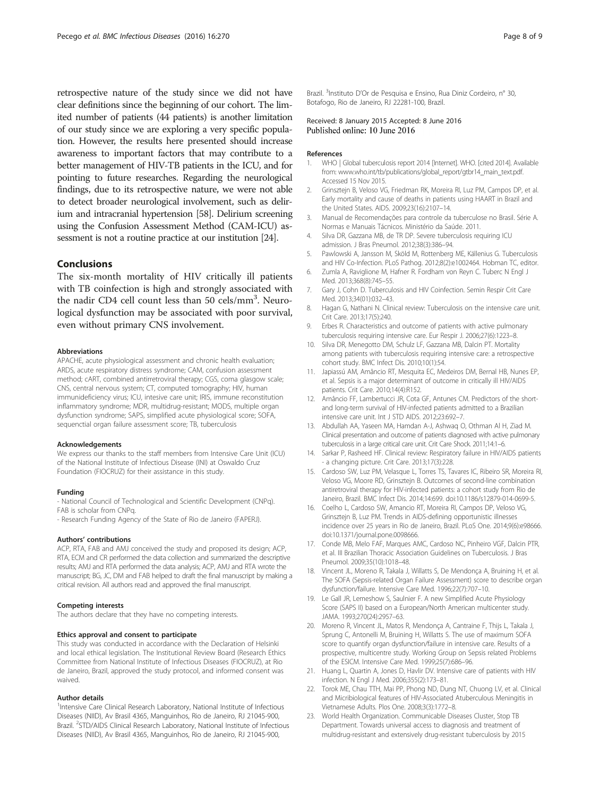<span id="page-7-0"></span>retrospective nature of the study since we did not have clear definitions since the beginning of our cohort. The limited number of patients (44 patients) is another limitation of our study since we are exploring a very specific population. However, the results here presented should increase awareness to important factors that may contribute to a better management of HIV-TB patients in the ICU, and for pointing to future researches. Regarding the neurological findings, due to its retrospective nature, we were not able to detect broader neurological involvement, such as delirium and intracranial hypertension [[58](#page-8-0)]. Delirium screening using the Confusion Assessment Method (CAM-ICU) assessment is not a routine practice at our institution [\[24\]](#page-8-0).

## Conclusions

The six-month mortality of HIV critically ill patients with TB coinfection is high and strongly associated with the nadir CD4 cell count less than 50 cels/mm<sup>3</sup>. Neurological dysfunction may be associated with poor survival, even without primary CNS involvement.

#### Abbreviations

APACHE, acute physiological assessment and chronic health evaluation; ARDS, acute respiratory distress syndrome; CAM, confusion assessment method; cART, combined antirretroviral therapy; CGS, coma glasgow scale; CNS, central nervous system; CT, computed tomography; HIV, human immunideficiency virus; ICU, intesive care unit; IRIS, immune reconstitution inflammatory syndrome; MDR, multidrug-resistant; MODS, multiple organ dysfunction syndrome; SAPS, simplified acute physiological score; SOFA, sequenctial organ failure assessment score; TB, tuberculosis

#### Acknowledgements

We express our thanks to the staff members from Intensive Care Unit (ICU) of the National Institute of Infectious Disease (INI) at Oswaldo Cruz Foundation (FIOCRUZ) for their assistance in this study.

#### Funding

- National Council of Technological and Scientific Development (CNPq). FAB is scholar from CNPq.

- Research Funding Agency of the State of Rio de Janeiro (FAPERJ).

#### Authors' contributions

ACP, RTA, FAB and AMJ conceived the study and proposed its design; ACP, RTA, ECM and CR performed the data collection and summarized the descriptive results; AMJ and RTA performed the data analysis; ACP, AMJ and RTA wrote the manuscript; BG, JC, DM and FAB helped to draft the final manuscript by making a critical revision. All authors read and approved the final manuscript.

#### Competing interests

The authors declare that they have no competing interests.

#### Ethics approval and consent to participate

This study was conducted in accordance with the Declaration of Helsinki and local ethical legislation. The Institutional Review Board (Research Ethics Committee from National Institute of Infectious Diseases (FIOCRUZ), at Rio de Janeiro, Brazil, approved the study protocol, and informed consent was waived.

#### Author details

<sup>1</sup>Intensive Care Clinical Research Laboratory, National Institute of Infectious Diseases (NIID), Av Brasil 4365, Manguinhos, Rio de Janeiro, RJ 21045-900, Brazil. <sup>2</sup>STD/AIDS Clinical Research Laboratory, National Institute of Infectious Diseases (NIID), Av Brasil 4365, Manguinhos, Rio de Janeiro, RJ 21045-900,

Brazil. <sup>3</sup>Instituto D'Or de Pesquisa e Ensino, Rua Diniz Cordeiro, nº 30 Botafogo, Rio de Janeiro, RJ 22281-100, Brazil.

#### Received: 8 January 2015 Accepted: 8 June 2016 Published online: 10 June 2016

#### References

- 1. WHO | Global tuberculosis report 2014 [Internet]. WHO. [cited 2014]. Available from: [www.who.int/tb/publications/global\\_report/gtbr14\\_main\\_text.pdf.](http://www.who.int/tb/publications/global_report/gtbr14_main_text.pdf) Accessed 15 Nov 2015.
- 2. Grinsztejn B, Veloso VG, Friedman RK, Moreira RI, Luz PM, Campos DP, et al. Early mortality and cause of deaths in patients using HAART in Brazil and the United States. AIDS. 2009;23(16):2107–14.
- 3. Manual de Recomendações para controle da tuberculose no Brasil. Série A. Normas e Manuais Tácnicos. Ministério da Saúde. 2011.
- 4. Silva DR, Gazzana MB, de TR DP. Severe tuberculosis requiring ICU admission. J Bras Pneumol. 2012;38(3):386–94.
- 5. Pawlowski A, Jansson M, Sköld M, Rottenberg ME, Källenius G. Tuberculosis and HIV Co-Infection. PLoS Pathog. 2012;8(2):e1002464. Hobman TC, editor.
- 6. Zumla A, Raviglione M, Hafner R. Fordham von Reyn C. Tuberc N Engl J Med. 2013;368(8):745–55.
- 7. Gary J, Cohn D. Tuberculosis and HIV Coinfection. Semin Respir Crit Care Med. 2013;34(01):032–43.
- 8. Hagan G, Nathani N. Clinical review: Tuberculosis on the intensive care unit. Crit Care. 2013;17(5):240.
- 9. Erbes R. Characteristics and outcome of patients with active pulmonary tuberculosis requiring intensive care. Eur Respir J. 2006;27(6):1223–8.
- 10. Silva DR, Menegotto DM, Schulz LF, Gazzana MB, Dalcin PT. Mortality among patients with tuberculosis requiring intensive care: a retrospective cohort study. BMC Infect Dis. 2010;10(1):54.
- 11. Japiassú AM, Amâncio RT, Mesquita EC, Medeiros DM, Bernal HB, Nunes EP, et al. Sepsis is a major determinant of outcome in critically ill HIV/AIDS patients. Crit Care. 2010;14(4):R152.
- 12. Amâncio FF, Lambertucci JR, Cota GF, Antunes CM. Predictors of the shortand long-term survival of HIV-infected patients admitted to a Brazilian intensive care unit. Int J STD AIDS. 2012;23:692–7.
- 13. Abdullah AA, Yaseen MA, Hamdan A-J, Ashwaq O, Othman Al H, Ziad M. Clinical presentation and outcome of patients diagnosed with active pulmonary tuberculosis in a large critical care unit. Crit Care Shock. 2011;14:1–6.
- 14. Sarkar P, Rasheed HF. Clinical review: Respiratory failure in HIV/AIDS patients a changing picture. Crit Care. 2013;17(3):228.
- 15. Cardoso SW, Luz PM, Velasque L, Torres TS, Tavares IC, Ribeiro SR, Moreira RI, Veloso VG, Moore RD, Grinsztejn B. Outcomes of second-line combination antiretroviral therapy for HIV-infected patients: a cohort study from Rio de Janeiro, Brazil. BMC Infect Dis. 2014;14:699. doi[:10.1186/s12879-014-0699-5](http://dx.doi.org/10.1186/s12879-014-0699-5).
- 16. Coelho L, Cardoso SW, Amancio RT, Moreira RI, Campos DP, Veloso VG, Grinsztejn B, Luz PM. Trends in AIDS-defining opportunistic illnesses incidence over 25 years in Rio de Janeiro, Brazil. PLoS One. 2014;9(6):e98666. doi[:10.1371/journal.pone.0098666.](http://dx.doi.org/10.1371/journal.pone.0098666)
- 17. Conde MB, Melo FAF, Marques AMC, Cardoso NC, Pinheiro VGF, Dalcin PTR, et al. III Brazilian Thoracic Association Guidelines on Tuberculosis. J Bras Pneumol. 2009;35(10):1018–48.
- 18. Vincent JL, Moreno R, Takala J, Willatts S, De Mendonça A, Bruining H, et al. The SOFA (Sepsis-related Organ Failure Assessment) score to describe organ dysfunction/failure. Intensive Care Med. 1996;22(7):707–10.
- 19. Le Gall JR, Lemeshow S, Saulnier F. A new Simplified Acute Physiology Score (SAPS II) based on a European/North American multicenter study. JAMA. 1993;270(24):2957–63.
- 20. Moreno R, Vincent JL, Matos R, Mendonça A, Cantraine F, Thijs L, Takala J, Sprung C, Antonelli M, Bruining H, Willatts S. The use of maximum SOFA score to quantify organ dysfunction/failure in intensive care. Results of a prospective, multicentre study. Working Group on Sepsis related Problems of the ESICM. Intensive Care Med. 1999;25(7):686–96.
- 21. Huang L, Quartin A, Jones D, Havlir DV. Intensive care of patients with HIV infection. N Engl J Med. 2006;355(2):173–81.
- 22. Torok ME, Chau TTH, Mai PP, Phong ND, Dung NT, Chuong LV, et al. Clinical and Micribiological features of HIV-Associated Atuberculous Meningitis in Vietnamese Adults. Plos One. 2008;3(3):1772–8.
- 23. World Health Organization. Communicable Diseases Cluster, Stop TB Department. Towards universal access to diagnosis and treatment of multidrug-resistant and extensively drug-resistant tuberculosis by 2015